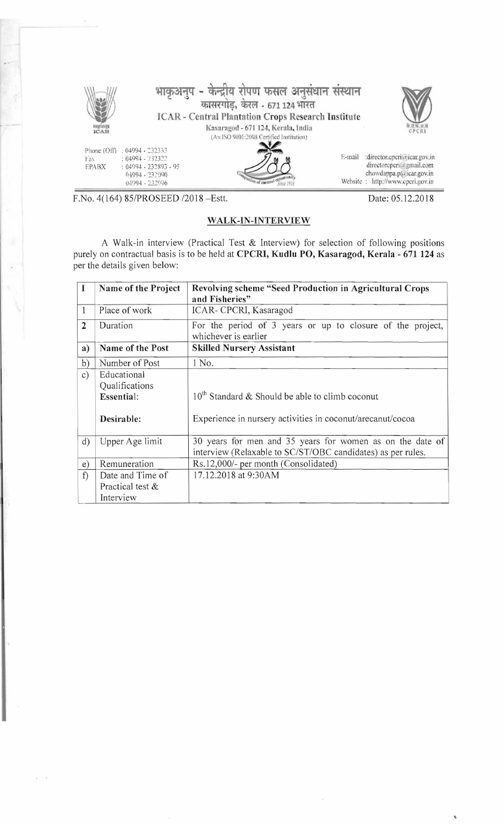

F.No. 4(164) 85/PROSEED /2018 - Estt.

## WALK-IN-INTERVIEW

Date: 05.12.2018

A Walk-in interview (Practical Test & Interview) for selection of following positions purely on contractual basis is to be held at CPCRI, Kudlu PO, Kasaragod, Kerala - 671 124 as per the details given below:

| I              | Name of the Project                                       | <b>Revolving scheme "Seed Production in Agricultural Crops</b><br>and Fisheries"                                         |
|----------------|-----------------------------------------------------------|--------------------------------------------------------------------------------------------------------------------------|
| 1              | Place of work                                             | ICAR- CPCRI, Kasaragod                                                                                                   |
| $\overline{2}$ | Duration                                                  | For the period of 3 years or up to closure of the project,<br>whichever is earlier                                       |
| a)             | Name of the Post                                          | <b>Skilled Nursery Assistant</b>                                                                                         |
| b)             | Number of Post                                            | 1 No.                                                                                                                    |
| c)             | Educational<br>Qualifications<br>Essential:<br>Desirable: | $10^{th}$ Standard & Should be able to climb coconut<br>Experience in nursery activities in coconut/arecanut/cocoa       |
| $\mathbf{d}$   | Upper Age limit                                           | 30 years for men and 35 years for women as on the date of<br>interview (Relaxable to SC/ST/OBC candidates) as per rules. |
| e)             | Remuneration                                              | Rs.12,000/- per month (Consolidated)                                                                                     |
| f              | Date and Time of<br>Practical test &<br>Interview         | 17.12.2018 at 9:30AM                                                                                                     |